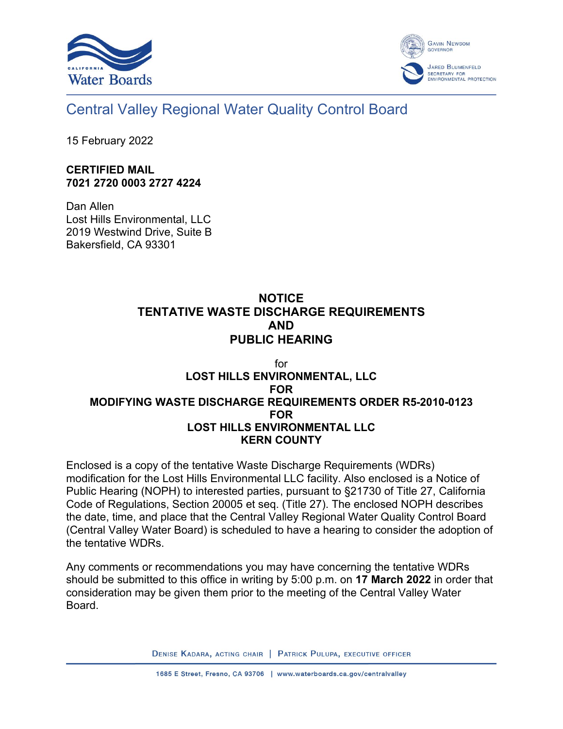



## Central Valley Regional Water Quality Control Board

15 February 2022

## **CERTIFIED MAIL 7021 2720 0003 2727 4224**

Dan Allen Lost Hills Environmental, LLC 2019 Westwind Drive, Suite B Bakersfield, CA 93301

## **NOTICE TENTATIVE WASTE DISCHARGE REQUIREMENTS AND PUBLIC HEARING**

## for **LOST HILLS ENVIRONMENTAL, LLC FOR MODIFYING WASTE DISCHARGE REQUIREMENTS ORDER R5-2010-0123 FOR LOST HILLS ENVIRONMENTAL LLC KERN COUNTY**

Enclosed is a copy of the tentative Waste Discharge Requirements (WDRs) modification for the Lost Hills Environmental LLC facility. Also enclosed is a Notice of Public Hearing (NOPH) to interested parties, pursuant to §21730 of Title 27, California Code of Regulations, Section 20005 et seq. (Title 27). The enclosed NOPH describes the date, time, and place that the Central Valley Regional Water Quality Control Board (Central Valley Water Board) is scheduled to have a hearing to consider the adoption of the tentative WDRs.

Any comments or recommendations you may have concerning the tentative WDRs should be submitted to this office in writing by 5:00 p.m. on **17 March 2022** in order that consideration may be given them prior to the meeting of the Central Valley Water Board.

DENISE KADARA, ACTING CHAIR | PATRICK PULUPA, EXECUTIVE OFFICER